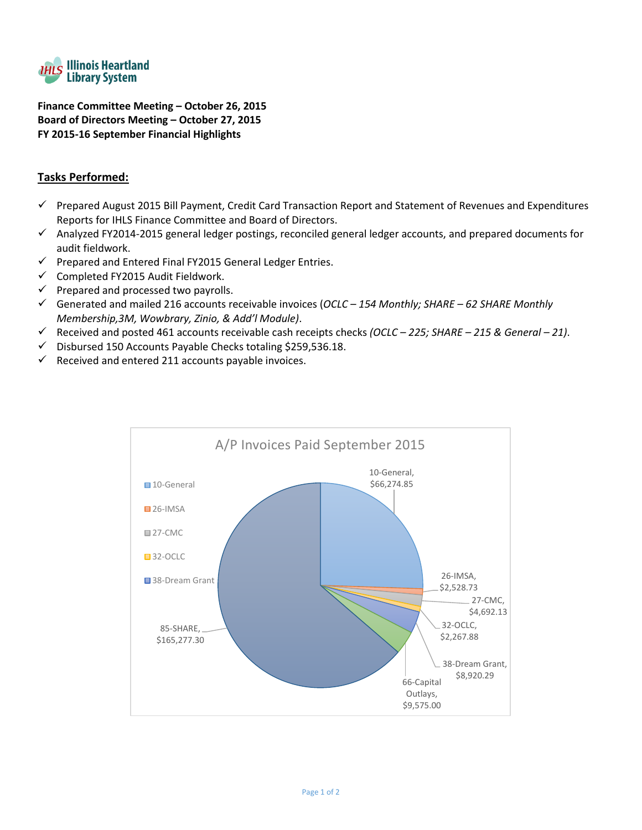

**Finance Committee Meeting – October 26, 2015 Board of Directors Meeting – October 27, 2015 FY 2015-16 September Financial Highlights**

### **Tasks Performed:**

- $\checkmark$  Prepared August 2015 Bill Payment, Credit Card Transaction Report and Statement of Revenues and Expenditures Reports for IHLS Finance Committee and Board of Directors.
- $\checkmark$  Analyzed FY2014-2015 general ledger postings, reconciled general ledger accounts, and prepared documents for audit fieldwork.
- $\checkmark$  Prepared and Entered Final FY2015 General Ledger Entries.
- $\checkmark$  Completed FY2015 Audit Fieldwork.
- $\checkmark$  Prepared and processed two payrolls.
- Generated and mailed 216 accounts receivable invoices (*OCLC – 154 Monthly; SHARE – 62 SHARE Monthly Membership,3M, Wowbrary, Zinio, & Add'l Module)*.
- Received and posted 461 accounts receivable cash receipts checks *(OCLC – 225; SHARE – 215 & General – 21)*.
- $\checkmark$  Disbursed 150 Accounts Payable Checks totaling \$259,536.18.
- $\checkmark$  Received and entered 211 accounts payable invoices.